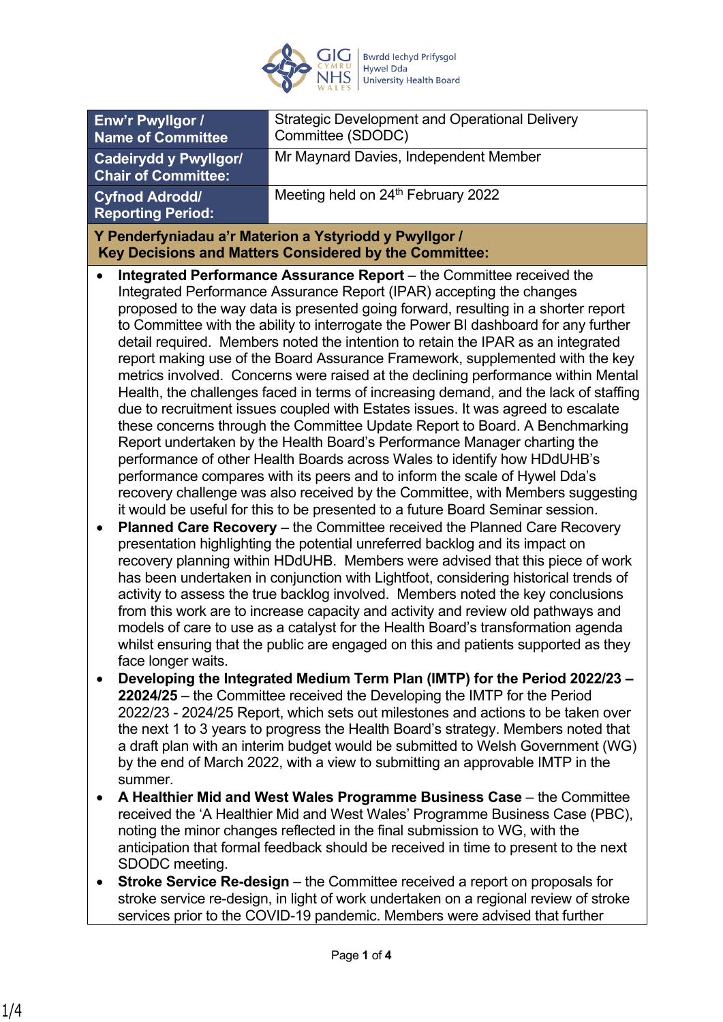

| Enw'r Pwyllgor /<br><b>Name of Committee</b>                                                                     | <b>Strategic Development and Operational Delivery</b><br>Committee (SDODC)                                                                                                                                                                                                                                                                                                                                                                                                                                                                                                                                                                                                                                                                                                                                                                                                                                                                                                                                                                                                                                                                                                                                                                                                                                                                                                                                                                                                                                                                                                                                                                                                                                                                                                                                                                                                                                                                                                                                                  |  |
|------------------------------------------------------------------------------------------------------------------|-----------------------------------------------------------------------------------------------------------------------------------------------------------------------------------------------------------------------------------------------------------------------------------------------------------------------------------------------------------------------------------------------------------------------------------------------------------------------------------------------------------------------------------------------------------------------------------------------------------------------------------------------------------------------------------------------------------------------------------------------------------------------------------------------------------------------------------------------------------------------------------------------------------------------------------------------------------------------------------------------------------------------------------------------------------------------------------------------------------------------------------------------------------------------------------------------------------------------------------------------------------------------------------------------------------------------------------------------------------------------------------------------------------------------------------------------------------------------------------------------------------------------------------------------------------------------------------------------------------------------------------------------------------------------------------------------------------------------------------------------------------------------------------------------------------------------------------------------------------------------------------------------------------------------------------------------------------------------------------------------------------------------------|--|
| <b>Cadeirydd y Pwyllgor/</b><br><b>Chair of Committee:</b>                                                       | Mr Maynard Davies, Independent Member                                                                                                                                                                                                                                                                                                                                                                                                                                                                                                                                                                                                                                                                                                                                                                                                                                                                                                                                                                                                                                                                                                                                                                                                                                                                                                                                                                                                                                                                                                                                                                                                                                                                                                                                                                                                                                                                                                                                                                                       |  |
| <b>Cyfnod Adrodd/</b><br><b>Reporting Period:</b>                                                                | Meeting held on 24th February 2022                                                                                                                                                                                                                                                                                                                                                                                                                                                                                                                                                                                                                                                                                                                                                                                                                                                                                                                                                                                                                                                                                                                                                                                                                                                                                                                                                                                                                                                                                                                                                                                                                                                                                                                                                                                                                                                                                                                                                                                          |  |
| Y Penderfyniadau a'r Materion a Ystyriodd y Pwyllgor /<br>Key Decisions and Matters Considered by the Committee: |                                                                                                                                                                                                                                                                                                                                                                                                                                                                                                                                                                                                                                                                                                                                                                                                                                                                                                                                                                                                                                                                                                                                                                                                                                                                                                                                                                                                                                                                                                                                                                                                                                                                                                                                                                                                                                                                                                                                                                                                                             |  |
| face longer waits.                                                                                               | Integrated Performance Assurance Report - the Committee received the<br>Integrated Performance Assurance Report (IPAR) accepting the changes<br>proposed to the way data is presented going forward, resulting in a shorter report<br>to Committee with the ability to interrogate the Power BI dashboard for any further<br>detail required. Members noted the intention to retain the IPAR as an integrated<br>report making use of the Board Assurance Framework, supplemented with the key<br>metrics involved. Concerns were raised at the declining performance within Mental<br>Health, the challenges faced in terms of increasing demand, and the lack of staffing<br>due to recruitment issues coupled with Estates issues. It was agreed to escalate<br>these concerns through the Committee Update Report to Board. A Benchmarking<br>Report undertaken by the Health Board's Performance Manager charting the<br>performance of other Health Boards across Wales to identify how HDdUHB's<br>performance compares with its peers and to inform the scale of Hywel Dda's<br>recovery challenge was also received by the Committee, with Members suggesting<br>it would be useful for this to be presented to a future Board Seminar session.<br>Planned Care Recovery - the Committee received the Planned Care Recovery<br>presentation highlighting the potential unreferred backlog and its impact on<br>recovery planning within HDdUHB. Members were advised that this piece of work<br>has been undertaken in conjunction with Lightfoot, considering historical trends of<br>activity to assess the true backlog involved. Members noted the key conclusions<br>from this work are to increase capacity and activity and review old pathways and<br>models of care to use as a catalyst for the Health Board's transformation agenda<br>whilst ensuring that the public are engaged on this and patients supported as they<br>Developing the Integrated Medium Term Plan (IMTP) for the Period 2022/23 - |  |
| summer.                                                                                                          | 22024/25 – the Committee received the Developing the IMTP for the Period<br>2022/23 - 2024/25 Report, which sets out milestones and actions to be taken over<br>the next 1 to 3 years to progress the Health Board's strategy. Members noted that<br>a draft plan with an interim budget would be submitted to Welsh Government (WG)<br>by the end of March 2022, with a view to submitting an approvable IMTP in the                                                                                                                                                                                                                                                                                                                                                                                                                                                                                                                                                                                                                                                                                                                                                                                                                                                                                                                                                                                                                                                                                                                                                                                                                                                                                                                                                                                                                                                                                                                                                                                                       |  |
| SDODC meeting.                                                                                                   | A Healthier Mid and West Wales Programme Business Case – the Committee<br>received the 'A Healthier Mid and West Wales' Programme Business Case (PBC),<br>noting the minor changes reflected in the final submission to WG, with the<br>anticipation that formal feedback should be received in time to present to the next                                                                                                                                                                                                                                                                                                                                                                                                                                                                                                                                                                                                                                                                                                                                                                                                                                                                                                                                                                                                                                                                                                                                                                                                                                                                                                                                                                                                                                                                                                                                                                                                                                                                                                 |  |

 **Stroke Service Re-design** – the Committee received a report on proposals for stroke service re-design, in light of work undertaken on a regional review of stroke services prior to the COVID-19 pandemic. Members were advised that further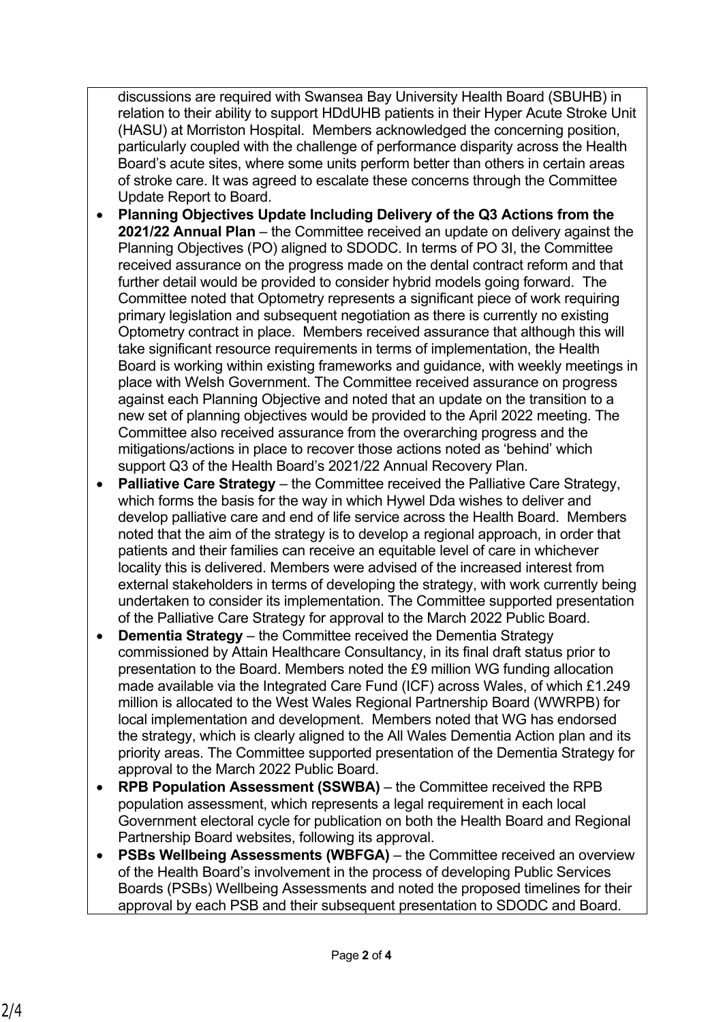discussions are required with Swansea Bay University Health Board (SBUHB) in relation to their ability to support HDdUHB patients in their Hyper Acute Stroke Unit (HASU) at Morriston Hospital. Members acknowledged the concerning position, particularly coupled with the challenge of performance disparity across the Health Board's acute sites, where some units perform better than others in certain areas of stroke care. It was agreed to escalate these concerns through the Committee Update Report to Board.

- **Planning Objectives Update Including Delivery of the Q3 Actions from the 2021/22 Annual Plan** – the Committee received an update on delivery against the Planning Objectives (PO) aligned to SDODC. In terms of PO 3I, the Committee received assurance on the progress made on the dental contract reform and that further detail would be provided to consider hybrid models going forward. The Committee noted that Optometry represents a significant piece of work requiring primary legislation and subsequent negotiation as there is currently no existing Optometry contract in place. Members received assurance that although this will take significant resource requirements in terms of implementation, the Health Board is working within existing frameworks and guidance, with weekly meetings in place with Welsh Government. The Committee received assurance on progress against each Planning Objective and noted that an update on the transition to a new set of planning objectives would be provided to the April 2022 meeting. The Committee also received assurance from the overarching progress and the mitigations/actions in place to recover those actions noted as 'behind' which support Q3 of the Health Board's 2021/22 Annual Recovery Plan.
- **Palliative Care Strategy** the Committee received the Palliative Care Strategy, which forms the basis for the way in which Hywel Dda wishes to deliver and develop palliative care and end of life service across the Health Board. Members noted that the aim of the strategy is to develop a regional approach, in order that patients and their families can receive an equitable level of care in whichever locality this is delivered. Members were advised of the increased interest from external stakeholders in terms of developing the strategy, with work currently being undertaken to consider its implementation. The Committee supported presentation of the Palliative Care Strategy for approval to the March 2022 Public Board.
- **Dementia Strategy** the Committee received the Dementia Strategy commissioned by Attain Healthcare Consultancy, in its final draft status prior to presentation to the Board. Members noted the £9 million WG funding allocation made available via the Integrated Care Fund (ICF) across Wales, of which £1.249 million is allocated to the West Wales Regional Partnership Board (WWRPB) for local implementation and development. Members noted that WG has endorsed the strategy, which is clearly aligned to the All Wales Dementia Action plan and its priority areas. The Committee supported presentation of the Dementia Strategy for approval to the March 2022 Public Board.
- **RPB Population Assessment (SSWBA)** the Committee received the RPB population assessment, which represents a legal requirement in each local Government electoral cycle for publication on both the Health Board and Regional Partnership Board websites, following its approval.
- **PSBs Wellbeing Assessments (WBFGA)** the Committee received an overview of the Health Board's involvement in the process of developing Public Services Boards (PSBs) Wellbeing Assessments and noted the proposed timelines for their approval by each PSB and their subsequent presentation to SDODC and Board.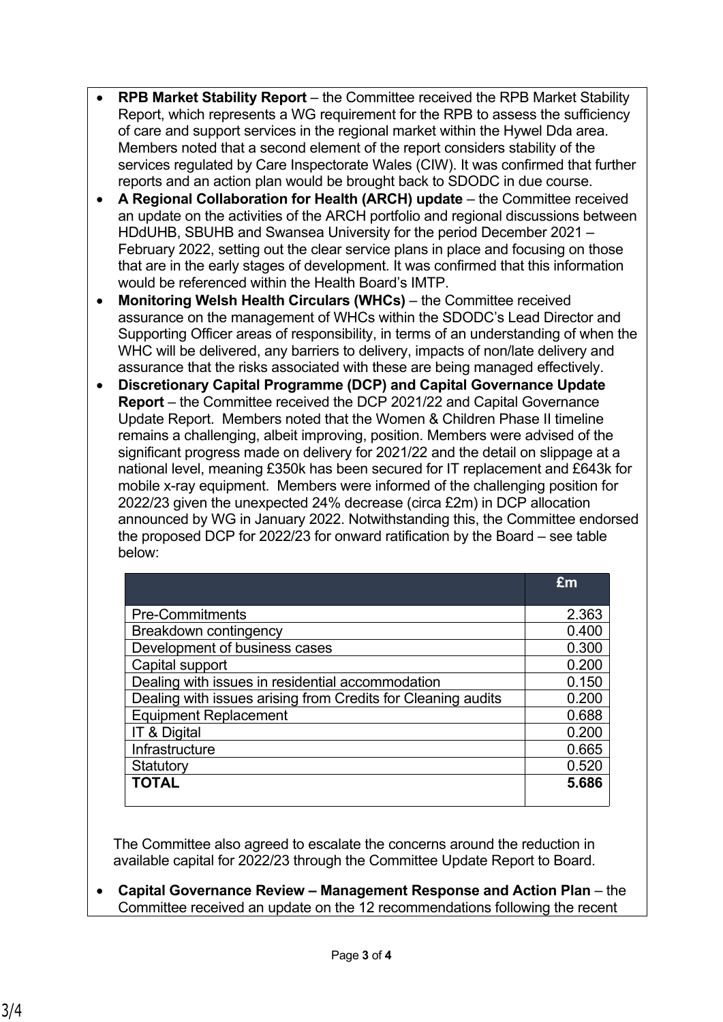- **RPB Market Stability Report** the Committee received the RPB Market Stability Report, which represents a WG requirement for the RPB to assess the sufficiency of care and support services in the regional market within the Hywel Dda area. Members noted that a second element of the report considers stability of the services regulated by Care Inspectorate Wales (CIW). It was confirmed that further reports and an action plan would be brought back to SDODC in due course.
- **A Regional Collaboration for Health (ARCH) update** the Committee received an update on the activities of the ARCH portfolio and regional discussions between HDdUHB, SBUHB and Swansea University for the period December 2021 – February 2022, setting out the clear service plans in place and focusing on those that are in the early stages of development. It was confirmed that this information would be referenced within the Health Board's IMTP.
- **Monitoring Welsh Health Circulars (WHCs)** the Committee received assurance on the management of WHCs within the SDODC's Lead Director and Supporting Officer areas of responsibility, in terms of an understanding of when the WHC will be delivered, any barriers to delivery, impacts of non/late delivery and assurance that the risks associated with these are being managed effectively.
- **Discretionary Capital Programme (DCP) and Capital Governance Update Report** – the Committee received the DCP 2021/22 and Capital Governance Update Report. Members noted that the Women & Children Phase II timeline remains a challenging, albeit improving, position. Members were advised of the significant progress made on delivery for 2021/22 and the detail on slippage at a national level, meaning £350k has been secured for IT replacement and £643k for mobile x-ray equipment. Members were informed of the challenging position for 2022/23 given the unexpected 24% decrease (circa £2m) in DCP allocation announced by WG in January 2022. Notwithstanding this, the Committee endorsed the proposed DCP for 2022/23 for onward ratification by the Board – see table below:

|                                                              | £m    |
|--------------------------------------------------------------|-------|
|                                                              |       |
| <b>Pre-Commitments</b>                                       | 2.363 |
| Breakdown contingency                                        | 0.400 |
| Development of business cases                                | 0.300 |
| Capital support                                              | 0.200 |
| Dealing with issues in residential accommodation             | 0.150 |
| Dealing with issues arising from Credits for Cleaning audits | 0.200 |
| <b>Equipment Replacement</b>                                 | 0.688 |
| IT & Digital                                                 | 0.200 |
| Infrastructure                                               | 0.665 |
| Statutory                                                    | 0.520 |
| <b>TOTAL</b>                                                 | 5.686 |

The Committee also agreed to escalate the concerns around the reduction in available capital for 2022/23 through the Committee Update Report to Board.

 **Capital Governance Review – Management Response and Action Plan** – the Committee received an update on the 12 recommendations following the recent